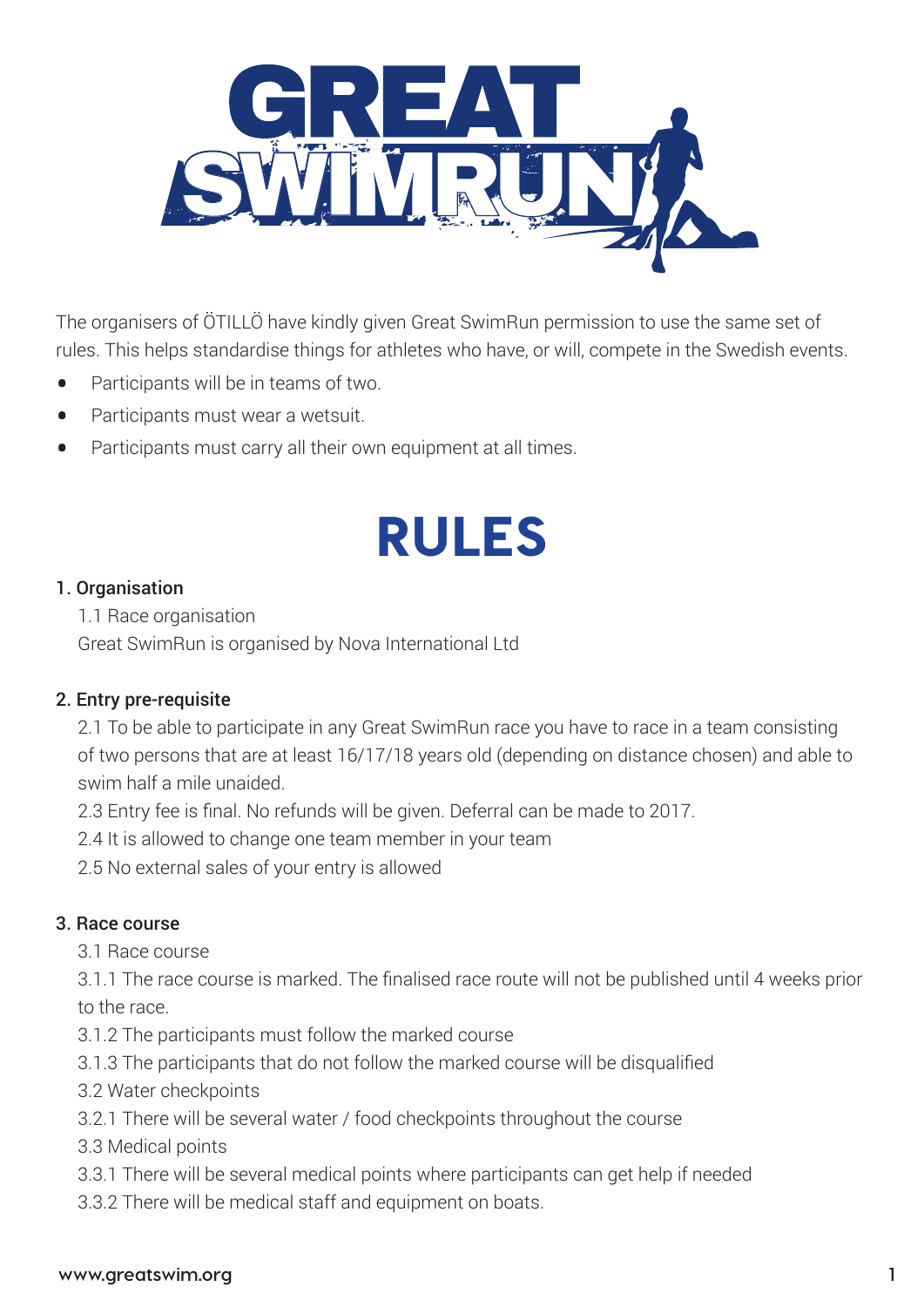

The organisers of ÖTILLÖ have kindly given Great SwimRun permission to use the same set of rules. This helps standardise things for athletes who have, or will, compete in the Swedish events.

- Participants will be in teams of two.
- Participants must wear a wetsuit.
- Participants must carry all their own equipment at all times.

# RULES

#### 1. Organisation

1.1 Race organisation

Great SwimRun is organised by Nova International Ltd

### 2. Entry pre-requisite

2.1 To be able to participate in any Great SwimRun race you have to race in a team consisting of two persons that are at least 16/17/18 years old (depending on distance chosen) and able to swim half a mile unaided.

2.3 Entry fee is final. No refunds will be given. Deferral can be made to 2017.

2.4 It is allowed to change one team member in your team

2.5 No external sales of your entry is allowed

### 3. Race course

3.1 Race course

3.1.1 The race course is marked. The finalised race route will not be published until 4 weeks prior to the race.

- 3.1.2 The participants must follow the marked course
- 3.1.3 The participants that do not follow the marked course will be disqualified
- 3.2 Water checkpoints
- 3.2.1 There will be several water / food checkpoints throughout the course
- 3.3 Medical points
- 3.3.1 There will be several medical points where participants can get help if needed
- 3.3.2 There will be medical staff and equipment on boats.

#### **www.greatswim.org 1**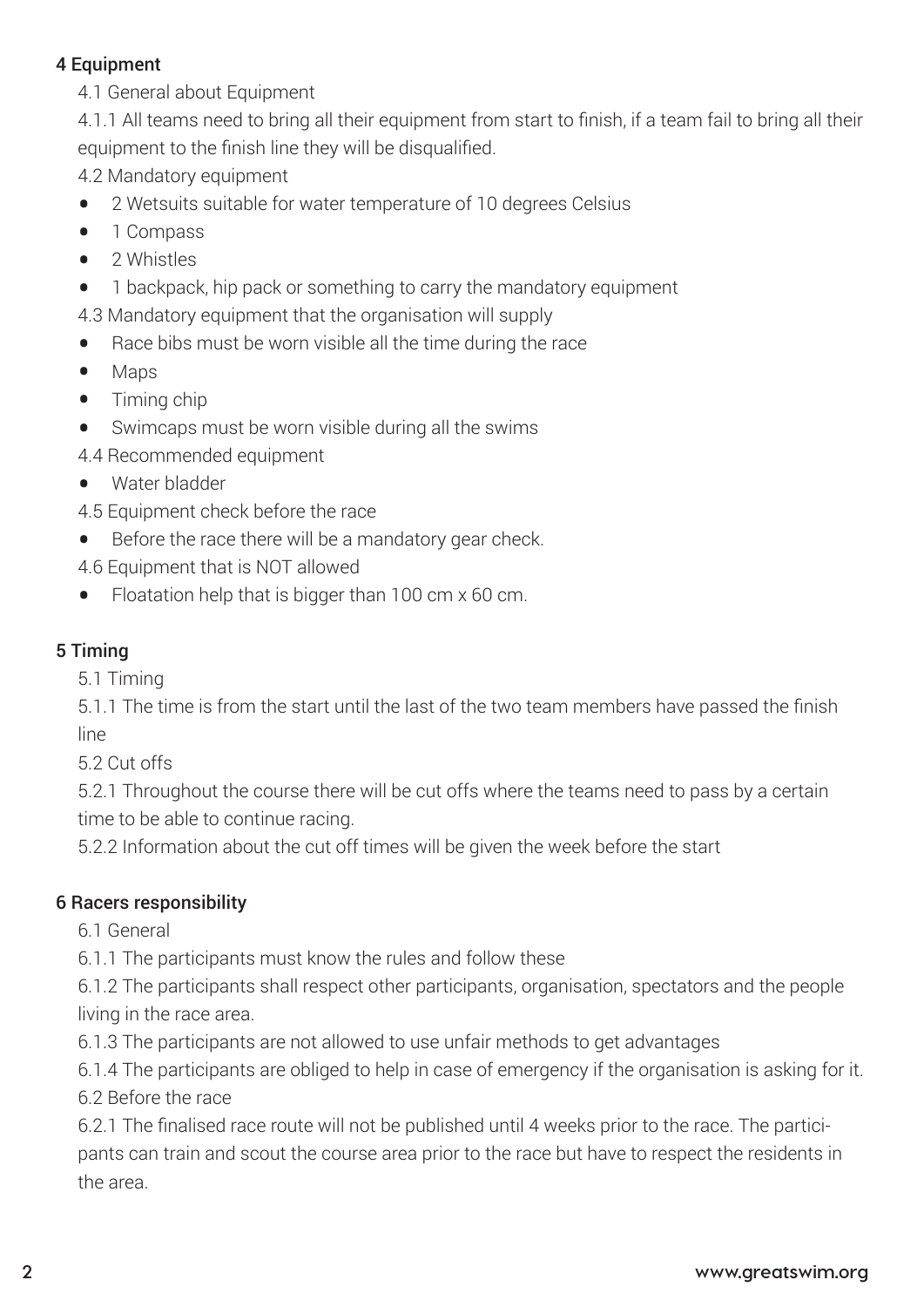#### 4 Equipment

4.1 General about Equipment

4.1.1 All teams need to bring all their equipment from start to finish, if a team fail to bring all their equipment to the finish line they will be disqualified.

- 4.2 Mandatory equipment
- 2 Wetsuits suitable for water temperature of 10 degrees Celsius<br>• 1 Compass
- 1 Compass<br>• 2 Whistles
- 2 Whistles<br>• 1 backpack
- 1 backpack, hip pack or something to carry the mandatory equipment
- 4.3 Mandatory equipment that the organisation will supply
- Race bibs must be worn visible all the time during the race<br>• Mans
- Maps
- Timing chip<br>• Swimcans r
- Swimcaps must be worn visible during all the swims
- 4.4 Recommended equipment
- Water bladder
- 4.5 Equipment check before the race
- Before the race there will be a mandatory gear check.
- 4.6 Equipment that is NOT allowed
- Floatation help that is bigger than 100 cm x 60 cm.

### 5 Timing

5.1 Timing

5.1.1 The time is from the start until the last of the two team members have passed the finish line

5.2 Cut offs

5.2.1 Throughout the course there will be cut offs where the teams need to pass by a certain time to be able to continue racing.

5.2.2 Information about the cut off times will be given the week before the start

### 6 Racers responsibility

6.1 General

6.1.1 The participants must know the rules and follow these

6.1.2 The participants shall respect other participants, organisation, spectators and the people living in the race area.

6.1.3 The participants are not allowed to use unfair methods to get advantages

6.1.4 The participants are obliged to help in case of emergency if the organisation is asking for it.

6.2 Before the race

6.2.1 The finalised race route will not be published until 4 weeks prior to the race. The participants can train and scout the course area prior to the race but have to respect the residents in the area.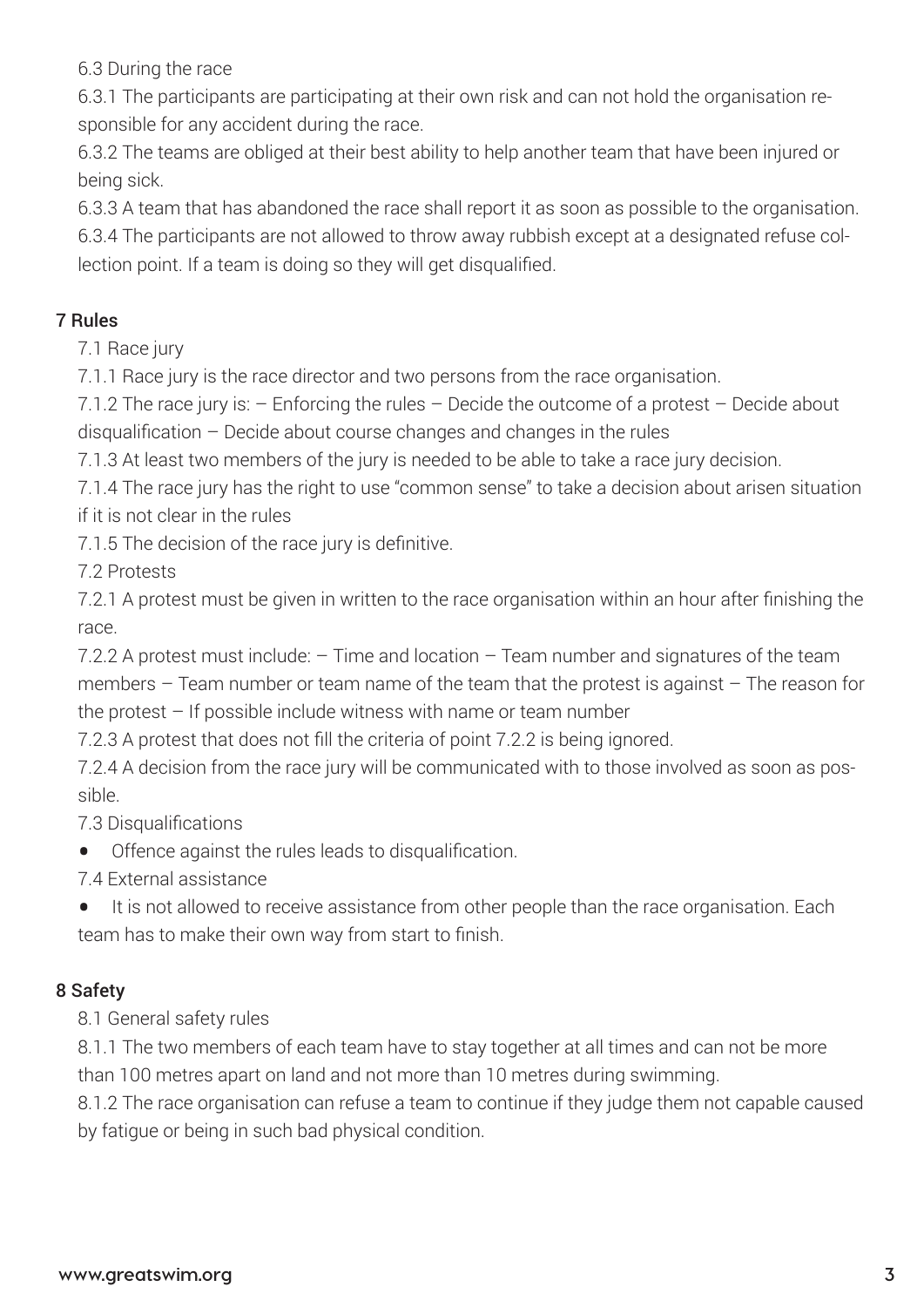6.3 During the race

6.3.1 The participants are participating at their own risk and can not hold the organisation responsible for any accident during the race.

6.3.2 The teams are obliged at their best ability to help another team that have been injured or being sick.

6.3.3 A team that has abandoned the race shall report it as soon as possible to the organisation.

6.3.4 The participants are not allowed to throw away rubbish except at a designated refuse collection point. If a team is doing so they will get disqualified.

## 7 Rules

7.1 Race jury

7.1.1 Race jury is the race director and two persons from the race organisation.

7.1.2 The race jury is: – Enforcing the rules – Decide the outcome of a protest – Decide about disqualification – Decide about course changes and changes in the rules

7.1.3 At least two members of the jury is needed to be able to take a race jury decision.

7.1.4 The race jury has the right to use "common sense" to take a decision about arisen situation if it is not clear in the rules

7.1.5 The decision of the race jury is definitive.

7.2 Protests

7.2.1 A protest must be given in written to the race organisation within an hour after finishing the race.

7.2.2 A protest must include:  $-$  Time and location  $-$  Team number and signatures of the team members – Team number or team name of the team that the protest is against – The reason for the protest – If possible include witness with name or team number

7.2.3 A protest that does not fill the criteria of point 7.2.2 is being ignored.

7.2.4 A decision from the race jury will be communicated with to those involved as soon as possible.

7.3 Disqualifications

• Offence against the rules leads to disqualification.

7.4 External assistance

• It is not allowed to receive assistance from other people than the race organisation. Each team has to make their own way from start to finish.

# 8 Safety

8.1 General safety rules

8.1.1 The two members of each team have to stay together at all times and can not be more than 100 metres apart on land and not more than 10 metres during swimming.

8.1.2 The race organisation can refuse a team to continue if they judge them not capable caused by fatigue or being in such bad physical condition.